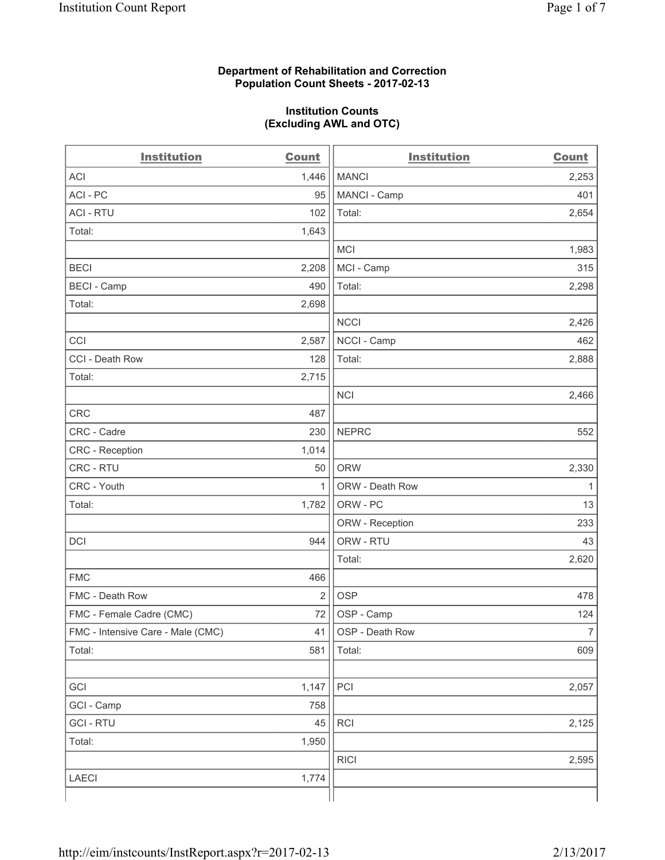### **Department of Rehabilitation and Correction Population Count Sheets - 2017-02-13**

#### **Institution Counts (Excluding AWL and OTC)**

| <b>Institution</b>                | <b>Count</b>   | <b>Institution</b> | <b>Count</b>   |
|-----------------------------------|----------------|--------------------|----------------|
| <b>ACI</b>                        | 1,446          | <b>MANCI</b>       | 2,253          |
| ACI - PC                          | 95             | MANCI - Camp       | 401            |
| <b>ACI - RTU</b>                  | 102            | Total:             | 2,654          |
| Total:                            | 1,643          |                    |                |
|                                   |                | <b>MCI</b>         | 1,983          |
| <b>BECI</b>                       | 2,208          | MCI - Camp         | 315            |
| <b>BECI</b> - Camp                | 490            | Total:             | 2,298          |
| Total:                            | 2,698          |                    |                |
|                                   |                | <b>NCCI</b>        | 2,426          |
| CCI                               | 2,587          | NCCI - Camp        | 462            |
| CCI - Death Row                   | 128            | Total:             | 2,888          |
| Total:                            | 2,715          |                    |                |
|                                   |                | <b>NCI</b>         | 2,466          |
| <b>CRC</b>                        | 487            |                    |                |
| CRC - Cadre                       | 230            | <b>NEPRC</b>       | 552            |
| <b>CRC</b> - Reception            | 1,014          |                    |                |
| CRC - RTU                         | 50             | <b>ORW</b>         | 2,330          |
| CRC - Youth                       | $\mathbf{1}$   | ORW - Death Row    | 1              |
| Total:                            | 1,782          | ORW - PC           | 13             |
|                                   |                | ORW - Reception    | 233            |
| DCI                               | 944            | ORW - RTU          | 43             |
|                                   |                | Total:             | 2,620          |
| <b>FMC</b>                        | 466            |                    |                |
| FMC - Death Row                   | $\overline{2}$ | <b>OSP</b>         | 478            |
| FMC - Female Cadre (CMC)          | 72             | OSP - Camp         | 124            |
| FMC - Intensive Care - Male (CMC) | 41             | OSP - Death Row    | $\overline{7}$ |
| Total:                            | 581            | Total:             | 609            |
|                                   |                |                    |                |
| GCI                               | 1,147          | PCI                | 2,057          |
| GCI - Camp                        | 758            |                    |                |
| <b>GCI - RTU</b>                  | 45             | RCI                | 2,125          |
| Total:                            | 1,950          |                    |                |
|                                   |                | <b>RICI</b>        | 2,595          |
| LAECI                             | 1,774          |                    |                |
|                                   |                |                    |                |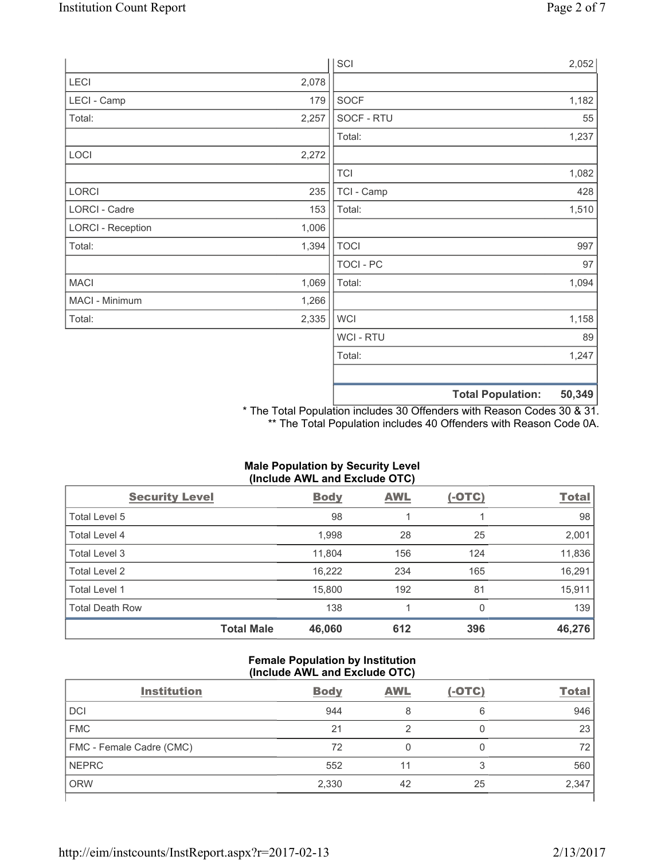|                          |       | SCI            |                          | 2,052  |
|--------------------------|-------|----------------|--------------------------|--------|
| LECI                     | 2,078 |                |                          |        |
| LECI - Camp              | 179   | SOCF           |                          | 1,182  |
| Total:                   | 2,257 | SOCF - RTU     |                          | 55     |
|                          |       | Total:         |                          | 1,237  |
| LOCI                     | 2,272 |                |                          |        |
|                          |       | <b>TCI</b>     |                          | 1,082  |
| LORCI                    | 235   | TCI - Camp     |                          | 428    |
| LORCI - Cadre            | 153   | Total:         |                          | 1,510  |
| <b>LORCI - Reception</b> | 1,006 |                |                          |        |
| Total:                   | 1,394 | <b>TOCI</b>    |                          | 997    |
|                          |       | TOCI - PC      |                          | 97     |
| <b>MACI</b>              | 1,069 | Total:         |                          | 1,094  |
| MACI - Minimum           | 1,266 |                |                          |        |
| Total:                   | 2,335 | <b>WCI</b>     |                          | 1,158  |
|                          |       | <b>WCI-RTU</b> |                          | 89     |
|                          |       | Total:         |                          | 1,247  |
|                          |       |                |                          |        |
|                          |       |                | <b>Total Population:</b> | 50,349 |

\* The Total Population includes 30 Offenders with Reason Codes 30 & 31. \*\* The Total Population includes 40 Offenders with Reason Code 0A.

## **Male Population by Security Level (Include AWL and Exclude OTC)**

| <b>Security Level</b>  |                   | <b>Body</b> | AWL | $(-OTC)$ | <b>Total</b> |
|------------------------|-------------------|-------------|-----|----------|--------------|
| Total Level 5          |                   | 98          |     |          | 98           |
| <b>Total Level 4</b>   |                   | 1,998       | 28  | 25       | 2,001        |
| Total Level 3          |                   | 11,804      | 156 | 124      | 11,836       |
| Total Level 2          |                   | 16,222      | 234 | 165      | 16,291       |
| <b>Total Level 1</b>   |                   | 15,800      | 192 | 81       | 15,911       |
| <b>Total Death Row</b> |                   | 138         |     | 0        | 139          |
|                        | <b>Total Male</b> | 46,060      | 612 | 396      | 46,276       |

### **Female Population by Institution (Include AWL and Exclude OTC)**

| <b>Institution</b>       | <b>Body</b> | <b>AWL</b> | $(-OTC)$ | <b>Total</b> |
|--------------------------|-------------|------------|----------|--------------|
| <b>DCI</b>               | 944         | 8          | 6        | 946          |
| <b>FMC</b>               | 21          |            |          | 23           |
| FMC - Female Cadre (CMC) | 72          |            |          | 72           |
| <b>NEPRC</b>             | 552         |            | 3        | 560          |
| <b>ORW</b>               | 2,330       | 42         | 25       | 2,347        |
|                          |             |            |          |              |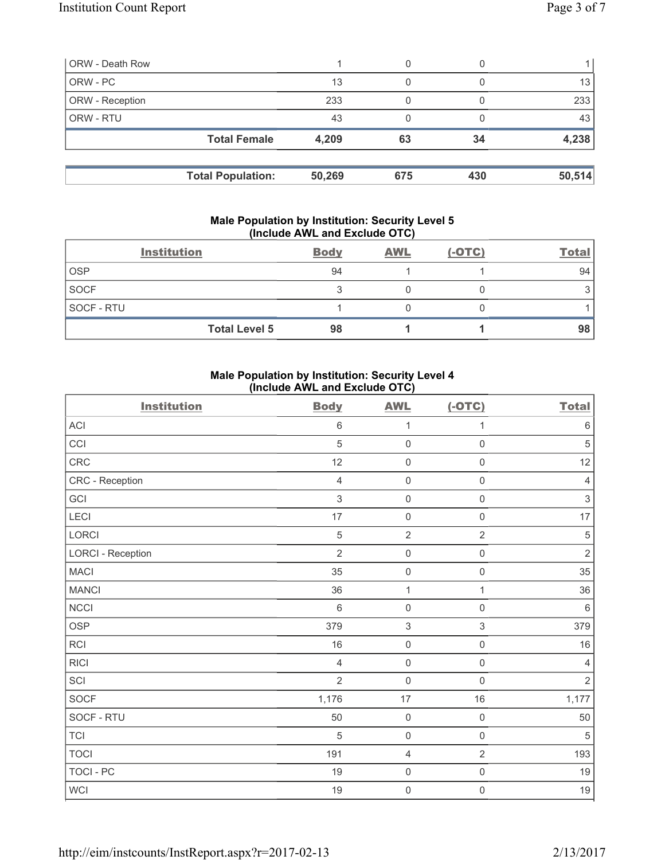| <b>ORW - Death Row</b> |                          |        | 0   |     |        |
|------------------------|--------------------------|--------|-----|-----|--------|
| ORW - PC               |                          | 13     | 0   |     | 13     |
| ORW - Reception        |                          | 233    |     |     | 233    |
| ORW - RTU              |                          | 43     |     |     | 43     |
|                        | <b>Total Female</b>      | 4,209  | 63  | 34  | 4,238  |
|                        |                          |        |     |     |        |
|                        | <b>Total Population:</b> | 50,269 | 675 | 430 | 50,514 |

### **Male Population by Institution: Security Level 5 (Include AWL and Exclude OTC)**

|                   | <b>Institution</b>   | <b>Body</b> | <b>AWL</b> | $(-OTC)$ | <b>Total</b> |
|-------------------|----------------------|-------------|------------|----------|--------------|
| <b>OSP</b>        |                      | 94          |            |          | 94           |
| <b>SOCF</b>       |                      | ◠           |            |          |              |
| <b>SOCF - RTU</b> |                      |             |            |          |              |
|                   | <b>Total Level 5</b> | 98          |            |          | 98           |

## **Male Population by Institution: Security Level 4 (Include AWL and Exclude OTC)**

| <b>Institution</b>       | <b>Body</b>    | <b>AWL</b>                | $(-OTC)$            | <b>Total</b>              |
|--------------------------|----------------|---------------------------|---------------------|---------------------------|
| $\sf ACI$                | 6              | $\mathbf{1}$              | 1                   | $\,6$                     |
| CCI                      | 5              | $\mathsf{O}\xspace$       | $\mathsf{O}\xspace$ | $\overline{5}$            |
| CRC                      | 12             | $\mathsf{O}\xspace$       | $\mathsf{O}\xspace$ | 12                        |
| CRC - Reception          | $\overline{4}$ | $\mathsf{O}\xspace$       | $\mathsf{O}\xspace$ | $\overline{4}$            |
| GCI                      | $\mathfrak{S}$ | 0                         | $\mathbf 0$         | $\ensuremath{\mathsf{3}}$ |
| LECI                     | 17             | 0                         | $\mathbf 0$         | 17                        |
| LORCI                    | 5              | $\overline{2}$            | $\overline{2}$      | $\sqrt{5}$                |
| <b>LORCI - Reception</b> | $\overline{2}$ | $\mathsf{O}\xspace$       | $\mathbf 0$         | $\mathbf 2$               |
| <b>MACI</b>              | 35             | $\mathbf 0$               | $\mathsf{O}\xspace$ | 35                        |
| <b>MANCI</b>             | 36             | $\mathbf 1$               | 1                   | 36                        |
| <b>NCCI</b>              | $\,6\,$        | $\mathsf{O}\xspace$       | $\mathbf 0$         | $\,6\,$                   |
| <b>OSP</b>               | 379            | $\ensuremath{\mathsf{3}}$ | $\,$ 3 $\,$         | 379                       |
| <b>RCI</b>               | 16             | $\mathsf{O}\xspace$       | $\mathbf 0$         | 16                        |
| <b>RICI</b>              | $\overline{4}$ | $\mathsf{O}\xspace$       | $\mathsf{O}\xspace$ | $\overline{4}$            |
| SCI                      | $\overline{2}$ | 0                         | $\mathbf 0$         | $\overline{2}$            |
| SOCF                     | 1,176          | $17\,$                    | 16                  | 1,177                     |
| SOCF - RTU               | 50             | $\mathsf{O}\xspace$       | $\mathbf 0$         | 50                        |
| <b>TCI</b>               | 5              | $\mathsf{O}\xspace$       | $\mathsf{O}\xspace$ | $\sqrt{5}$                |
| <b>TOCI</b>              | 191            | $\overline{4}$            | $\overline{2}$      | 193                       |
| <b>TOCI - PC</b>         | 19             | $\mathsf{O}\xspace$       | $\mathbf 0$         | 19                        |
| WCI                      | 19             | $\mathbf 0$               | $\mathsf{O}\xspace$ | $19$                      |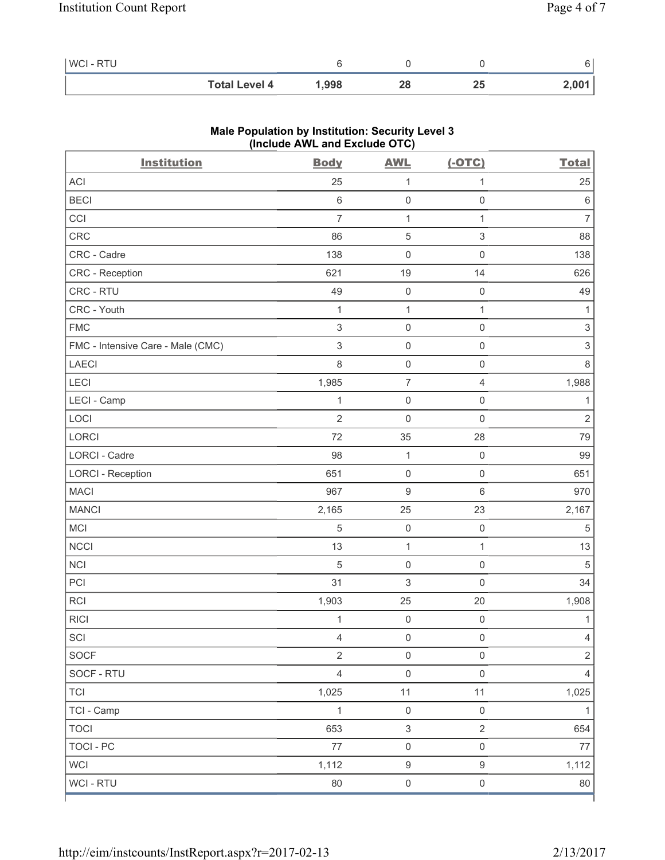| WCI - RTU |                      |      |    |          |                 |
|-----------|----------------------|------|----|----------|-----------------|
|           | <b>Total Level 4</b> | ,998 | 40 | <u>"</u> | <u>ຳ በበ1 : </u> |

| <b>Institution</b>                | $(III$ CIUDE AVE and EXCIUDE $O(O)$<br><b>Body</b> | <b>AWL</b>          | $(-OTC)$                  | <b>Total</b>              |
|-----------------------------------|----------------------------------------------------|---------------------|---------------------------|---------------------------|
| <b>ACI</b>                        | 25                                                 | $\mathbf 1$         | 1                         | 25                        |
| <b>BECI</b>                       | $\,6\,$                                            | $\mathsf{O}\xspace$ | $\mathsf{O}\xspace$       | $\,6\,$                   |
| CCI                               | $\overline{7}$                                     | $\mathbf 1$         | 1                         | $\overline{7}$            |
| CRC                               | 86                                                 | $\sqrt{5}$          | $\ensuremath{\mathsf{3}}$ | 88                        |
| CRC - Cadre                       | 138                                                | $\mathsf{O}\xspace$ | $\mathsf{O}\xspace$       | 138                       |
| CRC - Reception                   | 621                                                | 19                  | 14                        | 626                       |
| CRC - RTU                         | 49                                                 | $\mathsf{O}\xspace$ | $\mathsf 0$               | 49                        |
| CRC - Youth                       | 1                                                  | $\mathbf 1$         | 1                         | 1                         |
| <b>FMC</b>                        | $\mathsf 3$                                        | $\mathsf{O}\xspace$ | $\mathsf{O}\xspace$       | $\ensuremath{\mathsf{3}}$ |
| FMC - Intensive Care - Male (CMC) | $\sqrt{3}$                                         | $\mathsf{O}\xspace$ | $\mathsf{O}\xspace$       | $\ensuremath{\mathsf{3}}$ |
| LAECI                             | 8                                                  | $\mathsf{O}\xspace$ | $\mathbf 0$               | 8                         |
| LECI                              | 1,985                                              | $\overline{7}$      | $\overline{4}$            | 1,988                     |
| LECI - Camp                       | 1                                                  | $\mathsf{O}\xspace$ | $\mathsf{O}\xspace$       | 1                         |
| LOCI                              | $\overline{2}$                                     | $\mathsf{O}\xspace$ | $\mathsf{O}\xspace$       | $\mathbf 2$               |
| LORCI                             | 72                                                 | 35                  | 28                        | 79                        |
| LORCI - Cadre                     | 98                                                 | 1                   | $\mathbf 0$               | 99                        |
| <b>LORCI - Reception</b>          | 651                                                | $\mathsf{O}\xspace$ | $\mathsf{O}\xspace$       | 651                       |
| <b>MACI</b>                       | 967                                                | $\boldsymbol{9}$    | $6\,$                     | 970                       |
| <b>MANCI</b>                      | 2,165                                              | 25                  | 23                        | 2,167                     |
| MCI                               | $\sqrt{5}$                                         | $\mathsf{O}\xspace$ | $\mathbf 0$               | $\,$ 5 $\,$               |
| <b>NCCI</b>                       | 13                                                 | $\mathbf 1$         | $\mathbf{1}$              | 13                        |
| <b>NCI</b>                        | 5                                                  | $\mathsf{O}\xspace$ | $\mathsf{O}\xspace$       | 5                         |
| PCI                               | 31                                                 | 3                   | $\mathbf 0$               | 34                        |
| <b>RCI</b>                        | 1,903                                              | 25                  | 20                        | 1,908                     |
| <b>RICI</b>                       | 1                                                  | $\mathsf{O}\xspace$ | $\mathbf 0$               | $\mathbf{1}$              |
| SCI                               | 4                                                  | $\mathsf{O}\xspace$ | $\mathsf{O}\xspace$       | $\overline{4}$            |
| SOCF                              | $\overline{2}$                                     | $\mathsf{O}\xspace$ | $\mathsf{O}\xspace$       | $\sqrt{2}$                |
| SOCF - RTU                        | $\overline{4}$                                     | $\mathsf{O}\xspace$ | $\mathsf{O}\xspace$       | $\overline{4}$            |
| <b>TCI</b>                        | 1,025                                              | 11                  | 11                        | 1,025                     |
| TCI - Camp                        | $\mathbf{1}$                                       | $\mathsf{O}\xspace$ | $\mathsf{O}\xspace$       | $\mathbf{1}$              |
| <b>TOCI</b>                       | 653                                                | $\mathfrak{S}$      | $\overline{2}$            | 654                       |
| <b>TOCI - PC</b>                  | $77 \,$                                            | $\mathsf{O}\xspace$ | $\mathsf{O}\xspace$       | $77 \,$                   |
| <b>WCI</b>                        | 1,112                                              | $\boldsymbol{9}$    | $\boldsymbol{9}$          | 1,112                     |
| WCI - RTU                         | 80                                                 | $\mathsf{O}\xspace$ | $\mathsf{O}\xspace$       | 80                        |

# **Male Population by Institution: Security Level 3 (Include AWL and Exclude OTC)**

ľ

٦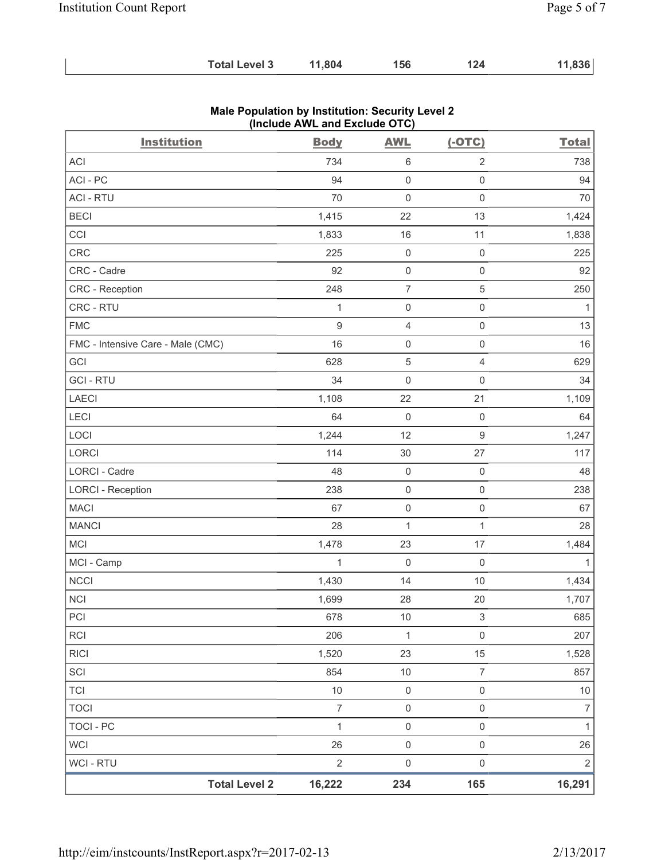| <b>Total Level 3</b> | 11,804 | 156 | 124 | 11,836 |
|----------------------|--------|-----|-----|--------|
|----------------------|--------|-----|-----|--------|

| <b>Institution</b>                | $(1101000$ Arrs and sacrade $0.10$<br><b>Body</b> | <b>AWL</b>          | $(-OTC)$                  | <b>Total</b>   |
|-----------------------------------|---------------------------------------------------|---------------------|---------------------------|----------------|
| ACI                               | 734                                               | $\,6\,$             | $\sqrt{2}$                | 738            |
| ACI-PC                            | 94                                                | $\mathbf 0$         | $\mathsf 0$               | 94             |
| <b>ACI - RTU</b>                  | 70                                                | $\mathsf{O}\xspace$ | $\mathsf{O}\xspace$       | 70             |
| <b>BECI</b>                       | 1,415                                             | 22                  | 13                        | 1,424          |
| CCI                               | 1,833                                             | 16                  | 11                        | 1,838          |
| CRC                               | 225                                               | $\mathsf{O}\xspace$ | $\mathsf{O}\xspace$       | 225            |
| CRC - Cadre                       | 92                                                | $\mathsf{O}\xspace$ | $\mathsf{O}\xspace$       | 92             |
| CRC - Reception                   | 248                                               | $\overline{7}$      | 5                         | 250            |
| CRC - RTU                         | $\mathbf{1}$                                      | $\mathsf{O}\xspace$ | $\mathsf{O}\xspace$       | $\mathbf{1}$   |
| <b>FMC</b>                        | $\boldsymbol{9}$                                  | $\overline{4}$      | $\mathsf 0$               | 13             |
| FMC - Intensive Care - Male (CMC) | 16                                                | $\mathsf{O}\xspace$ | $\mathsf 0$               | 16             |
| GCI                               | 628                                               | $\sqrt{5}$          | $\overline{4}$            | 629            |
| <b>GCI-RTU</b>                    | 34                                                | $\mathsf{O}\xspace$ | $\mathsf{O}\xspace$       | 34             |
| LAECI                             | 1,108                                             | 22                  | 21                        | 1,109          |
| LECI                              | 64                                                | $\mathsf{O}\xspace$ | $\mathbf 0$               | 64             |
| LOCI                              | 1,244                                             | 12                  | $\hbox{9}$                | 1,247          |
| LORCI                             | 114                                               | $30\,$              | 27                        | 117            |
| LORCI - Cadre                     | 48                                                | $\mathsf{O}\xspace$ | $\mathbf 0$               | 48             |
| <b>LORCI - Reception</b>          | 238                                               | $\mathsf{O}\xspace$ | $\mathsf{O}\xspace$       | 238            |
| <b>MACI</b>                       | 67                                                | $\mathbf 0$         | $\mathsf 0$               | 67             |
| <b>MANCI</b>                      | 28                                                | $\mathbf 1$         | $\mathbf{1}$              | 28             |
| MCI                               | 1,478                                             | 23                  | 17                        | 1,484          |
| MCI - Camp                        | $\mathbf{1}$                                      | $\mathbf 0$         | $\mathbf 0$               | $\mathbf{1}$   |
| NCCI                              | 1,430                                             | 14                  | 10                        | 1,434          |
| <b>NCI</b>                        | 1,699                                             | 28                  | 20                        | 1,707          |
| PCI                               | 678                                               | 10                  | $\ensuremath{\mathsf{3}}$ | 685            |
| RCI                               | 206                                               | 1                   | $\mathsf{O}\xspace$       | 207            |
| <b>RICI</b>                       | 1,520                                             | 23                  | 15                        | 1,528          |
| SCI                               | 854                                               | 10                  | $\overline{\mathcal{I}}$  | 857            |
| <b>TCI</b>                        | 10                                                | $\mathsf{O}\xspace$ | $\mathsf 0$               | $10$           |
| <b>TOCI</b>                       | $\overline{7}$                                    | $\mathbf 0$         | $\mathsf 0$               | $\overline{7}$ |
| <b>TOCI - PC</b>                  | $\mathbf{1}$                                      | $\mathbf 0$         | $\mathsf{O}\xspace$       | $\mathbf{1}$   |
| <b>WCI</b>                        | 26                                                | $\mathsf{O}\xspace$ | $\mathsf{O}\xspace$       | 26             |
| WCI - RTU                         | $\sqrt{2}$                                        | $\mathsf{O}\xspace$ | $\mathsf 0$               | $\overline{2}$ |
| <b>Total Level 2</b>              | 16,222                                            | 234                 | 165                       | 16,291         |

### **Male Population by Institution: Security Level 2 (Include AWL and Exclude OTC)**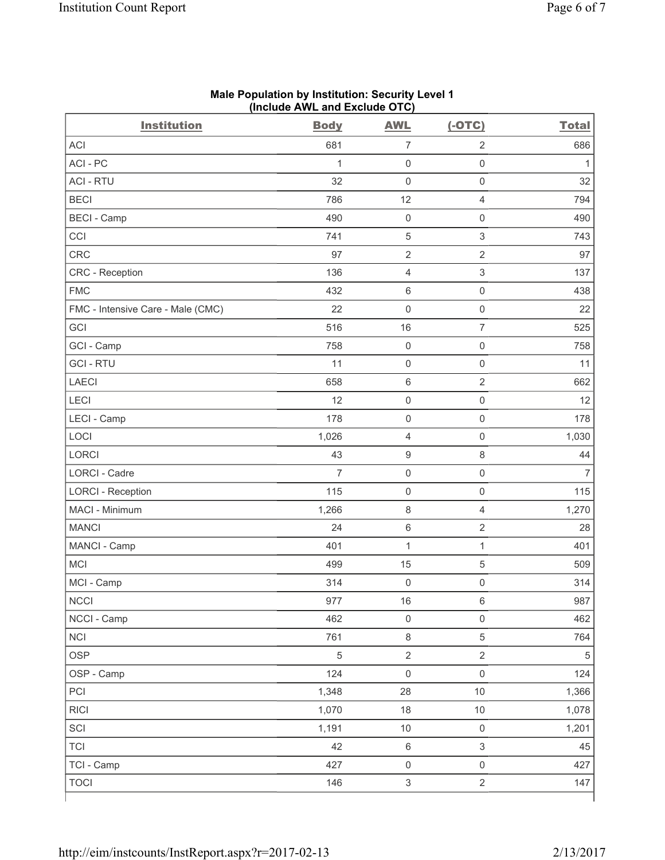| <b>ACI</b><br>681<br>$\sqrt{2}$<br>686<br>$\overline{7}$<br>ACI-PC<br>$\mathbf{1}$<br>$\mathsf 0$<br>$\mathsf{O}\xspace$<br>$\mathbf{1}$<br><b>ACI - RTU</b><br>32<br>32<br>$\mathsf{O}\xspace$<br>$\mathsf{O}\xspace$<br><b>BECI</b><br>786<br>12<br>794<br>$\overline{4}$<br><b>BECI</b> - Camp<br>490<br>$\mathsf 0$<br>$\mathsf{O}\xspace$<br>490<br>$\mathbf 5$<br>$\ensuremath{\mathsf{3}}$<br>CCI<br>741<br>743<br>CRC<br>$\sqrt{2}$<br>$\sqrt{2}$<br>97<br>97<br>CRC - Reception<br>136<br>$\ensuremath{\mathsf{3}}$<br>137<br>$\overline{4}$<br><b>FMC</b><br>432<br>$\,$ 6 $\,$<br>$\mathsf{O}\xspace$<br>438<br>22<br>$\mathsf{O}\xspace$<br>$\mathsf 0$<br>22<br>FMC - Intensive Care - Male (CMC)<br>$\overline{\mathcal{I}}$<br>GCI<br>516<br>16<br>525<br>GCI - Camp<br>$\mathsf 0$<br>$\mathsf{O}\xspace$<br>758<br>758<br><b>GCI-RTU</b><br>11<br>$\mathsf 0$<br>$\mathsf{O}\xspace$<br>11<br><b>LAECI</b><br>658<br>$\,6\,$<br>$\sqrt{2}$<br>662<br>LECI<br>12<br>$\mathsf 0$<br>$\mathsf{O}\xspace$<br>12<br>LECI - Camp<br>178<br>$\mathsf{O}\xspace$<br>$\mathbf 0$<br>178<br>LOCI<br>1,026<br>$\overline{4}$<br>$\mathsf{O}\xspace$<br>1,030<br><b>LORCI</b><br>$\boldsymbol{9}$<br>$\,8\,$<br>43<br>44<br>LORCI - Cadre<br>$\overline{7}$<br>$\mathsf{O}\xspace$<br>$\mathsf{O}\xspace$<br>$\overline{7}$<br>115<br>$\mathsf 0$<br>$\mathsf{O}\xspace$<br>115<br><b>LORCI - Reception</b><br>MACI - Minimum<br>$\,8\,$<br>1,270<br>1,266<br>$\overline{4}$<br>$\,6\,$<br>$\sqrt{2}$<br><b>MANCI</b><br>24<br>28<br>MANCI - Camp<br>401<br>$\mathbf{1}$<br>$\mathbf 1$<br>401<br>MCI<br>499<br>15<br>$\,$ 5 $\,$<br>509<br>$\mathsf{O}\xspace$<br>MCI - Camp<br>314<br>$\mathsf{O}\xspace$<br>314<br><b>NCCI</b><br>987<br>977<br>16<br>6<br>NCCI - Camp<br>462<br>$\mathsf{O}\xspace$<br>$\mathsf{O}\xspace$<br>462<br>$\,8\,$<br><b>NCI</b><br>761<br>$\,$ 5 $\,$<br>764<br>$\overline{2}$<br><b>OSP</b><br>5<br>$\overline{2}$<br>$\sqrt{5}$<br>$\mathsf{O}\xspace$<br>OSP - Camp<br>124<br>$\mathsf{O}\xspace$<br>124<br>PCI<br>1,348<br>28<br>10<br>1,366<br><b>RICI</b><br>1,070<br>10<br>1,078<br>18<br>SCI<br>1,191<br>$10$<br>$\mathbf 0$<br>1,201<br>$\,6\,$<br>$\mathsf 3$<br><b>TCI</b><br>42<br>45<br>TCI - Camp<br>427<br>$\mathsf{O}\xspace$<br>$\mathsf{O}\xspace$<br>427<br>146<br>$\mathsf 3$<br>$\overline{2}$<br><b>TOCI</b><br>147 | <b>Institution</b> | <b>Body</b> | <b>AWL</b> | $(-OTC)$ | <b>Total</b> |
|-------------------------------------------------------------------------------------------------------------------------------------------------------------------------------------------------------------------------------------------------------------------------------------------------------------------------------------------------------------------------------------------------------------------------------------------------------------------------------------------------------------------------------------------------------------------------------------------------------------------------------------------------------------------------------------------------------------------------------------------------------------------------------------------------------------------------------------------------------------------------------------------------------------------------------------------------------------------------------------------------------------------------------------------------------------------------------------------------------------------------------------------------------------------------------------------------------------------------------------------------------------------------------------------------------------------------------------------------------------------------------------------------------------------------------------------------------------------------------------------------------------------------------------------------------------------------------------------------------------------------------------------------------------------------------------------------------------------------------------------------------------------------------------------------------------------------------------------------------------------------------------------------------------------------------------------------------------------------------------------------------------------------------------------------------------------------------------------------------------------------------------------------------------------------------------------------------------------------------------------------------------------------------------------------------------------------------------------------------------------------------|--------------------|-------------|------------|----------|--------------|
|                                                                                                                                                                                                                                                                                                                                                                                                                                                                                                                                                                                                                                                                                                                                                                                                                                                                                                                                                                                                                                                                                                                                                                                                                                                                                                                                                                                                                                                                                                                                                                                                                                                                                                                                                                                                                                                                                                                                                                                                                                                                                                                                                                                                                                                                                                                                                                               |                    |             |            |          |              |
|                                                                                                                                                                                                                                                                                                                                                                                                                                                                                                                                                                                                                                                                                                                                                                                                                                                                                                                                                                                                                                                                                                                                                                                                                                                                                                                                                                                                                                                                                                                                                                                                                                                                                                                                                                                                                                                                                                                                                                                                                                                                                                                                                                                                                                                                                                                                                                               |                    |             |            |          |              |
|                                                                                                                                                                                                                                                                                                                                                                                                                                                                                                                                                                                                                                                                                                                                                                                                                                                                                                                                                                                                                                                                                                                                                                                                                                                                                                                                                                                                                                                                                                                                                                                                                                                                                                                                                                                                                                                                                                                                                                                                                                                                                                                                                                                                                                                                                                                                                                               |                    |             |            |          |              |
|                                                                                                                                                                                                                                                                                                                                                                                                                                                                                                                                                                                                                                                                                                                                                                                                                                                                                                                                                                                                                                                                                                                                                                                                                                                                                                                                                                                                                                                                                                                                                                                                                                                                                                                                                                                                                                                                                                                                                                                                                                                                                                                                                                                                                                                                                                                                                                               |                    |             |            |          |              |
|                                                                                                                                                                                                                                                                                                                                                                                                                                                                                                                                                                                                                                                                                                                                                                                                                                                                                                                                                                                                                                                                                                                                                                                                                                                                                                                                                                                                                                                                                                                                                                                                                                                                                                                                                                                                                                                                                                                                                                                                                                                                                                                                                                                                                                                                                                                                                                               |                    |             |            |          |              |
|                                                                                                                                                                                                                                                                                                                                                                                                                                                                                                                                                                                                                                                                                                                                                                                                                                                                                                                                                                                                                                                                                                                                                                                                                                                                                                                                                                                                                                                                                                                                                                                                                                                                                                                                                                                                                                                                                                                                                                                                                                                                                                                                                                                                                                                                                                                                                                               |                    |             |            |          |              |
|                                                                                                                                                                                                                                                                                                                                                                                                                                                                                                                                                                                                                                                                                                                                                                                                                                                                                                                                                                                                                                                                                                                                                                                                                                                                                                                                                                                                                                                                                                                                                                                                                                                                                                                                                                                                                                                                                                                                                                                                                                                                                                                                                                                                                                                                                                                                                                               |                    |             |            |          |              |
|                                                                                                                                                                                                                                                                                                                                                                                                                                                                                                                                                                                                                                                                                                                                                                                                                                                                                                                                                                                                                                                                                                                                                                                                                                                                                                                                                                                                                                                                                                                                                                                                                                                                                                                                                                                                                                                                                                                                                                                                                                                                                                                                                                                                                                                                                                                                                                               |                    |             |            |          |              |
|                                                                                                                                                                                                                                                                                                                                                                                                                                                                                                                                                                                                                                                                                                                                                                                                                                                                                                                                                                                                                                                                                                                                                                                                                                                                                                                                                                                                                                                                                                                                                                                                                                                                                                                                                                                                                                                                                                                                                                                                                                                                                                                                                                                                                                                                                                                                                                               |                    |             |            |          |              |
|                                                                                                                                                                                                                                                                                                                                                                                                                                                                                                                                                                                                                                                                                                                                                                                                                                                                                                                                                                                                                                                                                                                                                                                                                                                                                                                                                                                                                                                                                                                                                                                                                                                                                                                                                                                                                                                                                                                                                                                                                                                                                                                                                                                                                                                                                                                                                                               |                    |             |            |          |              |
|                                                                                                                                                                                                                                                                                                                                                                                                                                                                                                                                                                                                                                                                                                                                                                                                                                                                                                                                                                                                                                                                                                                                                                                                                                                                                                                                                                                                                                                                                                                                                                                                                                                                                                                                                                                                                                                                                                                                                                                                                                                                                                                                                                                                                                                                                                                                                                               |                    |             |            |          |              |
|                                                                                                                                                                                                                                                                                                                                                                                                                                                                                                                                                                                                                                                                                                                                                                                                                                                                                                                                                                                                                                                                                                                                                                                                                                                                                                                                                                                                                                                                                                                                                                                                                                                                                                                                                                                                                                                                                                                                                                                                                                                                                                                                                                                                                                                                                                                                                                               |                    |             |            |          |              |
|                                                                                                                                                                                                                                                                                                                                                                                                                                                                                                                                                                                                                                                                                                                                                                                                                                                                                                                                                                                                                                                                                                                                                                                                                                                                                                                                                                                                                                                                                                                                                                                                                                                                                                                                                                                                                                                                                                                                                                                                                                                                                                                                                                                                                                                                                                                                                                               |                    |             |            |          |              |
|                                                                                                                                                                                                                                                                                                                                                                                                                                                                                                                                                                                                                                                                                                                                                                                                                                                                                                                                                                                                                                                                                                                                                                                                                                                                                                                                                                                                                                                                                                                                                                                                                                                                                                                                                                                                                                                                                                                                                                                                                                                                                                                                                                                                                                                                                                                                                                               |                    |             |            |          |              |
|                                                                                                                                                                                                                                                                                                                                                                                                                                                                                                                                                                                                                                                                                                                                                                                                                                                                                                                                                                                                                                                                                                                                                                                                                                                                                                                                                                                                                                                                                                                                                                                                                                                                                                                                                                                                                                                                                                                                                                                                                                                                                                                                                                                                                                                                                                                                                                               |                    |             |            |          |              |
|                                                                                                                                                                                                                                                                                                                                                                                                                                                                                                                                                                                                                                                                                                                                                                                                                                                                                                                                                                                                                                                                                                                                                                                                                                                                                                                                                                                                                                                                                                                                                                                                                                                                                                                                                                                                                                                                                                                                                                                                                                                                                                                                                                                                                                                                                                                                                                               |                    |             |            |          |              |
|                                                                                                                                                                                                                                                                                                                                                                                                                                                                                                                                                                                                                                                                                                                                                                                                                                                                                                                                                                                                                                                                                                                                                                                                                                                                                                                                                                                                                                                                                                                                                                                                                                                                                                                                                                                                                                                                                                                                                                                                                                                                                                                                                                                                                                                                                                                                                                               |                    |             |            |          |              |
|                                                                                                                                                                                                                                                                                                                                                                                                                                                                                                                                                                                                                                                                                                                                                                                                                                                                                                                                                                                                                                                                                                                                                                                                                                                                                                                                                                                                                                                                                                                                                                                                                                                                                                                                                                                                                                                                                                                                                                                                                                                                                                                                                                                                                                                                                                                                                                               |                    |             |            |          |              |
|                                                                                                                                                                                                                                                                                                                                                                                                                                                                                                                                                                                                                                                                                                                                                                                                                                                                                                                                                                                                                                                                                                                                                                                                                                                                                                                                                                                                                                                                                                                                                                                                                                                                                                                                                                                                                                                                                                                                                                                                                                                                                                                                                                                                                                                                                                                                                                               |                    |             |            |          |              |
|                                                                                                                                                                                                                                                                                                                                                                                                                                                                                                                                                                                                                                                                                                                                                                                                                                                                                                                                                                                                                                                                                                                                                                                                                                                                                                                                                                                                                                                                                                                                                                                                                                                                                                                                                                                                                                                                                                                                                                                                                                                                                                                                                                                                                                                                                                                                                                               |                    |             |            |          |              |
|                                                                                                                                                                                                                                                                                                                                                                                                                                                                                                                                                                                                                                                                                                                                                                                                                                                                                                                                                                                                                                                                                                                                                                                                                                                                                                                                                                                                                                                                                                                                                                                                                                                                                                                                                                                                                                                                                                                                                                                                                                                                                                                                                                                                                                                                                                                                                                               |                    |             |            |          |              |
|                                                                                                                                                                                                                                                                                                                                                                                                                                                                                                                                                                                                                                                                                                                                                                                                                                                                                                                                                                                                                                                                                                                                                                                                                                                                                                                                                                                                                                                                                                                                                                                                                                                                                                                                                                                                                                                                                                                                                                                                                                                                                                                                                                                                                                                                                                                                                                               |                    |             |            |          |              |
|                                                                                                                                                                                                                                                                                                                                                                                                                                                                                                                                                                                                                                                                                                                                                                                                                                                                                                                                                                                                                                                                                                                                                                                                                                                                                                                                                                                                                                                                                                                                                                                                                                                                                                                                                                                                                                                                                                                                                                                                                                                                                                                                                                                                                                                                                                                                                                               |                    |             |            |          |              |
|                                                                                                                                                                                                                                                                                                                                                                                                                                                                                                                                                                                                                                                                                                                                                                                                                                                                                                                                                                                                                                                                                                                                                                                                                                                                                                                                                                                                                                                                                                                                                                                                                                                                                                                                                                                                                                                                                                                                                                                                                                                                                                                                                                                                                                                                                                                                                                               |                    |             |            |          |              |
|                                                                                                                                                                                                                                                                                                                                                                                                                                                                                                                                                                                                                                                                                                                                                                                                                                                                                                                                                                                                                                                                                                                                                                                                                                                                                                                                                                                                                                                                                                                                                                                                                                                                                                                                                                                                                                                                                                                                                                                                                                                                                                                                                                                                                                                                                                                                                                               |                    |             |            |          |              |
|                                                                                                                                                                                                                                                                                                                                                                                                                                                                                                                                                                                                                                                                                                                                                                                                                                                                                                                                                                                                                                                                                                                                                                                                                                                                                                                                                                                                                                                                                                                                                                                                                                                                                                                                                                                                                                                                                                                                                                                                                                                                                                                                                                                                                                                                                                                                                                               |                    |             |            |          |              |
|                                                                                                                                                                                                                                                                                                                                                                                                                                                                                                                                                                                                                                                                                                                                                                                                                                                                                                                                                                                                                                                                                                                                                                                                                                                                                                                                                                                                                                                                                                                                                                                                                                                                                                                                                                                                                                                                                                                                                                                                                                                                                                                                                                                                                                                                                                                                                                               |                    |             |            |          |              |
|                                                                                                                                                                                                                                                                                                                                                                                                                                                                                                                                                                                                                                                                                                                                                                                                                                                                                                                                                                                                                                                                                                                                                                                                                                                                                                                                                                                                                                                                                                                                                                                                                                                                                                                                                                                                                                                                                                                                                                                                                                                                                                                                                                                                                                                                                                                                                                               |                    |             |            |          |              |
|                                                                                                                                                                                                                                                                                                                                                                                                                                                                                                                                                                                                                                                                                                                                                                                                                                                                                                                                                                                                                                                                                                                                                                                                                                                                                                                                                                                                                                                                                                                                                                                                                                                                                                                                                                                                                                                                                                                                                                                                                                                                                                                                                                                                                                                                                                                                                                               |                    |             |            |          |              |
|                                                                                                                                                                                                                                                                                                                                                                                                                                                                                                                                                                                                                                                                                                                                                                                                                                                                                                                                                                                                                                                                                                                                                                                                                                                                                                                                                                                                                                                                                                                                                                                                                                                                                                                                                                                                                                                                                                                                                                                                                                                                                                                                                                                                                                                                                                                                                                               |                    |             |            |          |              |
|                                                                                                                                                                                                                                                                                                                                                                                                                                                                                                                                                                                                                                                                                                                                                                                                                                                                                                                                                                                                                                                                                                                                                                                                                                                                                                                                                                                                                                                                                                                                                                                                                                                                                                                                                                                                                                                                                                                                                                                                                                                                                                                                                                                                                                                                                                                                                                               |                    |             |            |          |              |
|                                                                                                                                                                                                                                                                                                                                                                                                                                                                                                                                                                                                                                                                                                                                                                                                                                                                                                                                                                                                                                                                                                                                                                                                                                                                                                                                                                                                                                                                                                                                                                                                                                                                                                                                                                                                                                                                                                                                                                                                                                                                                                                                                                                                                                                                                                                                                                               |                    |             |            |          |              |
|                                                                                                                                                                                                                                                                                                                                                                                                                                                                                                                                                                                                                                                                                                                                                                                                                                                                                                                                                                                                                                                                                                                                                                                                                                                                                                                                                                                                                                                                                                                                                                                                                                                                                                                                                                                                                                                                                                                                                                                                                                                                                                                                                                                                                                                                                                                                                                               |                    |             |            |          |              |
|                                                                                                                                                                                                                                                                                                                                                                                                                                                                                                                                                                                                                                                                                                                                                                                                                                                                                                                                                                                                                                                                                                                                                                                                                                                                                                                                                                                                                                                                                                                                                                                                                                                                                                                                                                                                                                                                                                                                                                                                                                                                                                                                                                                                                                                                                                                                                                               |                    |             |            |          |              |
|                                                                                                                                                                                                                                                                                                                                                                                                                                                                                                                                                                                                                                                                                                                                                                                                                                                                                                                                                                                                                                                                                                                                                                                                                                                                                                                                                                                                                                                                                                                                                                                                                                                                                                                                                                                                                                                                                                                                                                                                                                                                                                                                                                                                                                                                                                                                                                               |                    |             |            |          |              |
|                                                                                                                                                                                                                                                                                                                                                                                                                                                                                                                                                                                                                                                                                                                                                                                                                                                                                                                                                                                                                                                                                                                                                                                                                                                                                                                                                                                                                                                                                                                                                                                                                                                                                                                                                                                                                                                                                                                                                                                                                                                                                                                                                                                                                                                                                                                                                                               |                    |             |            |          |              |

#### **Male Population by Institution: Security Level 1 (Include AWL and Exclude OTC)**